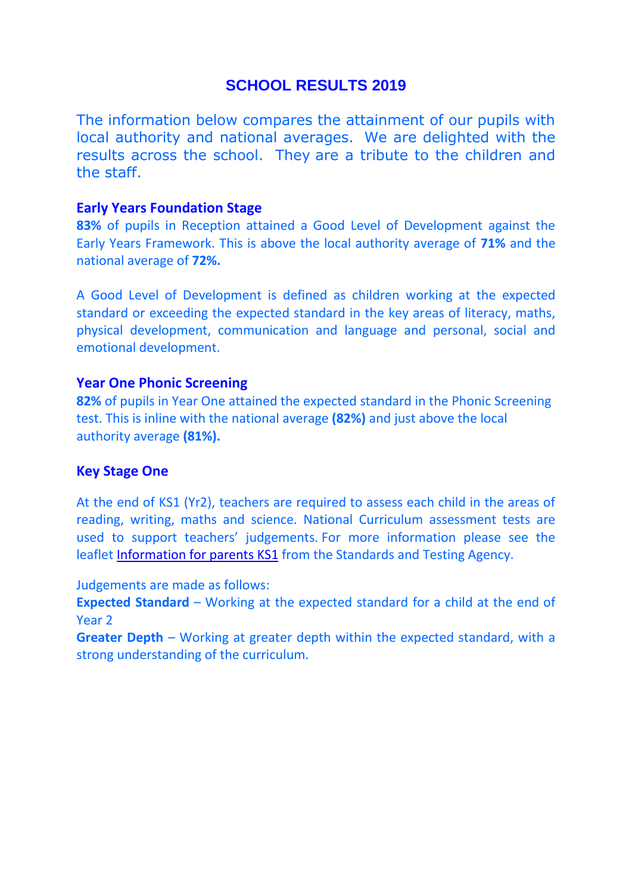# **SCHOOL RESULTS 2019**

The information below compares the attainment of our pupils with local authority and national averages. We are delighted with the results across the school. They are a tribute to the children and the staff.

#### **Early Years Foundation Stage**

**83%** of pupils in Reception attained a Good Level of Development against the Early Years Framework. This is above the local authority average of **71%** and the national average of **72%.**

A Good Level of Development is defined as children working at the expected standard or exceeding the expected standard in the key areas of literacy, maths, physical development, communication and language and personal, social and emotional development.

### **Year One Phonic Screening**

**82%** of pupils in Year One attained the expected standard in the Phonic Screening test. This is inline with the national average **(82%)** and just above the local authority average **(81%).**

## **Key Stage One**

At the end of KS1 (Yr2), teachers are required to assess each child in the areas of reading, writing, maths and science. National Curriculum assessment tests are used to support teachers' judgements. For more information please see the leaflet [Information for parents KS1](https://www.gov.uk/government/publications/2017-national-curriculum-assessment-results-at-the-end-of-key-stage-1-information-for-parents) from the Standards and Testing Agency.

Judgements are made as follows:

**Expected Standard** – Working at the expected standard for a child at the end of Year 2

**Greater Depth** – Working at greater depth within the expected standard, with a strong understanding of the curriculum.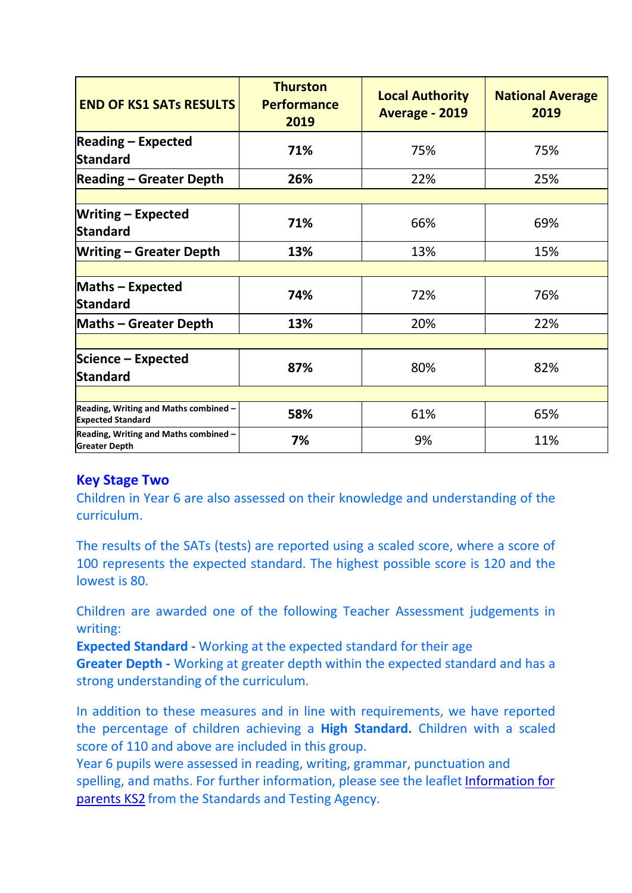| <b>END OF KS1 SATS RESULTS</b>                                    | <b>Thurston</b><br><b>Performance</b><br>2019 | <b>Local Authority</b><br>Average - 2019 | <b>National Average</b><br>2019 |
|-------------------------------------------------------------------|-----------------------------------------------|------------------------------------------|---------------------------------|
| <b>Reading - Expected</b><br><b>Standard</b>                      | 71%                                           | 75%                                      | 75%                             |
| <b>Reading - Greater Depth</b>                                    | 26%                                           | 22%                                      | 25%                             |
|                                                                   |                                               |                                          |                                 |
| <b>Writing - Expected</b><br>Standard                             | 71%                                           | 66%                                      | 69%                             |
| <b>Writing - Greater Depth</b>                                    | 13%                                           | 13%                                      | 15%                             |
|                                                                   |                                               |                                          |                                 |
| <b>Maths - Expected</b><br>Standard                               | 74%                                           | 72%                                      | 76%                             |
| <b>Maths - Greater Depth</b>                                      | 13%                                           | 20%                                      | 22%                             |
|                                                                   |                                               |                                          |                                 |
| Science - Expected                                                | 87%                                           | 80%                                      | 82%                             |
| Standard                                                          |                                               |                                          |                                 |
|                                                                   |                                               |                                          |                                 |
| Reading, Writing and Maths combined -<br><b>Expected Standard</b> | 58%                                           | 61%                                      | 65%                             |
| Reading, Writing and Maths combined -<br><b>Greater Depth</b>     | 7%                                            | 9%                                       | 11%                             |

## **Key Stage Two**

Children in Year 6 are also assessed on their knowledge and understanding of the curriculum.

The results of the SATs (tests) are reported using a scaled score, where a score of 100 represents the expected standard. The highest possible score is 120 and the lowest is 80.

Children are awarded one of the following Teacher Assessment judgements in writing:

**Expected Standard -** Working at the expected standard for their age

**Greater Depth -** Working at greater depth within the expected standard and has a strong understanding of the curriculum.

In addition to these measures and in line with requirements, we have reported the percentage of children achieving a **High Standard.** Children with a scaled score of 110 and above are included in this group.

Year 6 pupils were assessed in reading, writing, grammar, punctuation and spelling, and maths. For further information, please see the leaflet Information for [parents KS2](https://www.gov.uk/government/publications/2017-national-curriculum-assessment-results-at-the-end-of-key-stage-2-information-for-parents) from the Standards and Testing Agency.